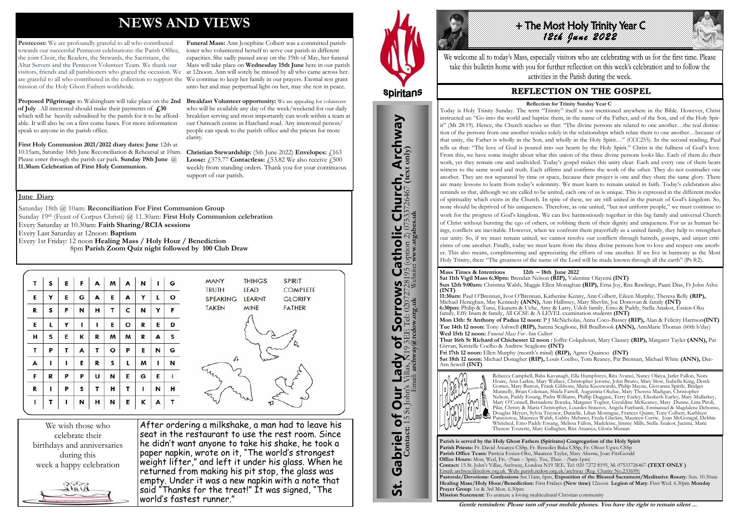## **NEWS AND VIEWS**

Pentecost: We are profoundly grateful to all who contributed towards our successful Pentecost celebrations: the Parish Office, the joint Choir, the Readers, the Stewards, the Sacristans, the Altar Servers and the Pentecost Volunteer Team. We thank our visitors, friends and all parishioners who graced the occasion. We are grateful to all who contributed in the collection to support the We continue to keep her family in our prayers. Eternal rest grant mission of the Holy Ghost Fathers worldwide.

**Proposed Pilgrimage** to Walsingham will take place on the **2nd of July** . All interested should make their payments of **£30** which will be heavily subsidised by the parish for it to be affordable. It will also be on a first come bases. For more information speak to anyone in the parish office.

**First Holy Communion 2021/2022 diary dates: June** 12th at 10.15am, Saturday 18th June Reconciliation & Rehearsal at 10am. Please enter through the parish car park. **Sunday 19th June** @ **11.30am Celebration of First Holy Communion.**

**Breakfast Volunteer opportunity:** We are appealing for volunteers who will be available any day of the week/weekend for our daily breakfast serving and most importantly can work within a team at our Outreach centre in Hatchard road. Any interested person/ people can speak to the parish office and the priests for more clarity.

**Funeral Mass:** Ann Josephine Colbert was a committed parishioner who volunteered herself to serve our parish in different capacities. She sadly passed away on the 19th of May, her funeral Mass will take place on **Wednesday 15th June** here in our parish at 12noon. Ann will sorely be missed by all who came across her. unto her and may perpertual light on her, may she rest in peace.

**Christian Stewardship:** (5th June 2022) **Envelopes:** £163 **Loose:** £375.77 **Contactless:** £53.82 We also receive £500 weekly from standing orders. Thank you for your continuous support of our parish.

We wish those who celebrate their birthdays and anniversaries during this week a happy celebration



After ordering a milkshake, a man had to leave his seat in the restaurant to use the rest room. Since he didn't want anyone to take his shake, he took a paper napkin, wrote on it, "The world's strongest weight lifter," and left it under his glass. When he returned from making his pit stop, the glass was empty. Under it was a new napkin with a note that said "Thanks for the treat!" It was signed, "The world's fastest runner."



St. Gabriel of Our Lady of Sorrows Catholic Church, Archway

Gabriel of Our Lady of Sorrows

**St.** 

**IS Catholic Church, Archway**<br>28195 (option 2) 07533726467 (text only)

#### **June Diary**

Saturday 18th @ 10am: **Reconciliation For First Communion Group** Sunday 19th (Feast of Corpus Christi) @ 11.30am: **First Holy Communion celebration** Every Saturday at 10.30am: **Faith Sharing/RCIA sessions**  Every Last Saturday at 12noon: **Baptism**  Every 1st Friday: 12 noon **Healing Mass / Holy Hour / Benediction** 8pm **Parish Zoom Quiz night followed by 100 Club Draw**

|   | S           | E | F | A | M       | A       | N | п | G       | <b>SPIRIT</b><br><b>THINGS</b><br><b>MANY</b>      |
|---|-------------|---|---|---|---------|---------|---|---|---------|----------------------------------------------------|
|   |             |   |   |   |         |         |   |   |         | <b>TRUTH</b><br><b>COMPLETE</b><br><b>LEAD</b>     |
| Е | Y           | E | G | A | E       | A       | Υ | L | $\circ$ | <b>SPEAKING</b><br><b>LEARNT</b><br><b>GLORIFY</b> |
| R | S           | F | N | н | т       | c       | N | Y | F       | <b>TAKEN</b><br><b>MINE</b><br><b>FATHER</b>       |
| E | L           | Υ |   |   | Е       | $\circ$ | R | E | D       |                                                    |
| н | S           | E | К | R | M       | M       | R | A | S       |                                                    |
| т | P           | т | A | Τ | $\circ$ | P       | Е | N | G       |                                                    |
| A | п           | 1 | Е | R | s       | L       | M |   | N       | st                                                 |
| F | $\mathbf R$ | P | P | U | N       | E       | G | E |         |                                                    |
| R | ı           | P | s | т | н       | Τ       | п | N | H       |                                                    |
|   | т           |   | N | н | N       | E       | K | A | т       | 97                                                 |



We welcome all to today's Mass, especially visitors who are celebrating with us for the first time. Please take this bulletin home with you for further reflection on this week's celebration and to follow the activities in the Parish during the week.

### **REFLECTION ON THE GOSPEL**

**Parish is served by the Holy Ghost Fathers (Spiritans) Congregation of the Holy Spirit Parish Priests:** Fr. David Atuanya CSSp, Fr. Benedict Baka CSSp, Fr. Oliver Ugwu CSSp **Parish Office Team:** Patricia Essien-Oku, Maureen Tayler, Mary Aherne, Joan FitzGerald **Office Hours:** Mon, Wed, Fri. -(9am – 3pm). Tue, Thur. - (9am-1pm) **Contact:** 15 St. John's Villas, Archway, London N19 3EE. Tel: 020 7272 8195, M: 07533726467-**(TEXT ONLY )** Email: archway@rcdow.org.uk Web: parish.rcdow.org.uk/archway (Reg. Charity No.233699) **Pastorals/Devotions: Confessions** Sat.11am, 6pm, **Exposition of the Blessed Sacrament/Meditative Rosary**: Sun. 10.30am **Healing Mass/Holy Hour/Benediction:** First Fridays **(New time)** 12noon **Legion of Mary**: First Wed. 6.30pm **Monday Prayer Group**: 1st & 3rd Mon. 6.30pm **Mission Statement:** To animate a loving multicultural Christian community

**Contact:** 15 St John's Villas, N19 3EE Tel: 02072728195 (option 2) 07533726467 **(text only)** Email: **archway@rcdow.org.uk** Website**: www.stgabes.uk**

**Mass Times & Intentions 12th – 18th June 2022 Sat 11th Vigil Mass 6:30pm:** Brendan Nelson **(RIP),** Valentine Olayemi **(INT) Sun 12th 9:00am:** Christina Walsh, Maggie Ellen Monaghan **(RIP),** Erna Joy, Rita Rawlings, Paani Dias, Fr John Ashu **(INT)**

**11:30am:** Paul O'Brennan, Ivor O'Brennan, Katherine Kenny, Ann Colbert, Eileen Murphy, Theresa Relly **(RIP),** Michael Heneghan, May Kennedy **(ANN),** Ann Hallissey, Mary Shevlin, Joe Donovan & family **(INT) 6:30pm:** Philip & Tunu, Ekanem & Uche, Amy & Larry, Udoh family, Emo & Paddy, Stella Anakor, Essien-Oku family, Effy Inam & family, All GCSE & A LEVEL examination students **(INT) Mon 13th: St Anthony of Padua 12 noon:** P J McNicholas, Anna Coco-Bassey **(RIP),** Alan & Felicity Harrison**(INT) Tue 14th 12 noon:** Tony Ashwell **(RIP),** Sarena Scaglione, Bill Bradbrook **(ANN),** AnnMarie Thomas (60th b'day) **Wed 15th 12 noon:** *Funeral Mass For Ann Colbert* **Thur 16th St Richard of Chichester 12 noon :** Joffre Colquhoun, Mary Clausey **(RIP),** Margaret Tayler **(ANN),** Pat Girvan, Kristelle Coelho & Andrew Scaglione **(INT) Fri 17th 12 noon:** Ellen Murphy (month's mind) **(RIP),** Agnes Quainoo **(INT) Sat 18th 12 noon:** Michael Donagher **(RIP),** Louis Coelho, Tom Reaney, Pat Brennan, Michael White **(ANN),** Dee-Arn Sewell **(INT)**



Rebecca Campbell, Babs Kavanagh, Ella Humphreys, Rita Avanzi, Nancy Olaiya, Jarlet Fallon, Nora Hoare, Ann Larkin, Mary Wallace, Christopher Jerome, John Bruno, Mary Slow, Isabella King, Derek Gomes, Mary Burton, Frank Gibbons, Maria Kuozwatski, Philip Mayne, Giovanna Spittle, Bridget Munnelly, Brian Coleman, Shiela Farrell, Augustina Okelue, Mary Theresa Madigan, Christopher Nelson, Paddy Essang, Padra Williams, Phillip Duggase, Terry Earley, Elizabeth Earley, Mary Mullarkey, Mary O'Connell, Bernadette Ikwuka, Margaret Togher, Geraldine McKeaney, Mary Dunne, Lina Piroli, Pilar, Christy & Maria Christopher, Lourdes Sisneros, Angela Fairbank, Emmanuel & Magdalene Debonne, Douglas Meyers, Sylvia Traynor, Danielle, Lilian Montague, Frances Quinn, Tony Colbert, Kathleen Panayiotou, Maureen Walsh, Gabby Mehmet, Freda Glackin, Maureen Currie, Joan McGonigal, Debbie Whitehed, Emo Paddy Essang, Melissa Fallon, Madeleine, Jimmy Mills, Stella Anakor, Jacinta, Marie Therese Tourette, Mary Gallagher, Rita Atuanya, Gloria Munian

**Gentle reminders: Please turn off your mobile phones. You have the right to remain silent ...** 

#### **Reflection for Trinity Sunday Year C**

Today is Holy Trinity Sunday. The term "Trinity" itself is not mentioned anywhere in the Bible. However, Christ instructed us: "Go into the world and baptize them, in the name of the Father, and of the Son, and of the Holy Spirit" (Mt 28:19). Hence, the Church teaches us that: "The divine persons are related to one another…the real distinction of the persons from one another resides solely in the relationships which relate them to one another…because of that unity, the Father is wholly in the Son, and wholly in the Holy Spirit…" (CCC255). In the second reading, Paul tells us that: "The love of God is poured into our hearts by the Holy Spirit." Christ is the fullness of God's love. From this, we have some insight about what this union of the three divine persons looks like. Each of them do their work, yet they remain one and undivided. Today's gospel makes this unity clear. Each and every one of them bears witness to the same word and truth. Each affirms and confirms the work of the other. They do not contradict one another. They are not separated by time or space, because their project is one and they share the same glory. There are many lessons to learn from today's solemnity. We must learn to remain united in faith. Today's celebration also reminds us that, although we are called to be united, each one of us is unique. This is expressed in the different modes of spirituality which exists in the Church. In spite of these, we are still united in the pursuit of God's kingdom. So, none should be deprived of his uniqueness. Therefore, as one united, "but not uniform people," we must continue to work for the progress of God's kingdom. We can live harmoniously together in this big family and universal Church of Christ without bursting the ego of others, or robbing them of their dignity and uniqueness. For us as human beings, conflicts are inevitable. However, when we confront them prayerfully as a united family, they help to strengthen our unity. So, if we must remain united, we cannot resolve our conflicts through hatreds, gossips, and unjust criticisms of one another. Finally, today we must learn from the three divine persons how to love and respect one another. This also means, complimenting and appreciating the efforts of one another. If we live in harmony as the Most Holy Trinity, then: "The greatness of the name of the Lord will be made known through all the earth" (Ps 8:2).